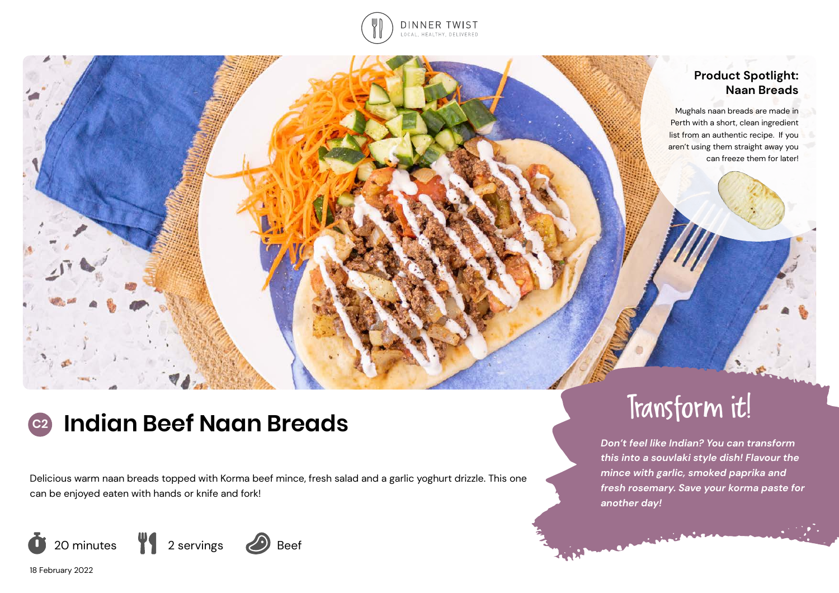

# **Product Spotlight: Naan Breads**

Mughals naan breads are made in Perth with a short, clean ingredient list from an authentic recipe. If you aren't using them straight away you can freeze them for later!

# **C2** Indian Beef Naan Breads Transform it!

Delicious warm naan breads topped with Korma beef mince, fresh salad and a garlic yoghurt drizzle. This one can be enjoyed eaten with hands or knife and fork!



18 February 2022

*Don't feel like Indian? You can transform this into a souvlaki style dish! Flavour the mince with garlic, smoked paprika and fresh rosemary. Save your korma paste for another day!*